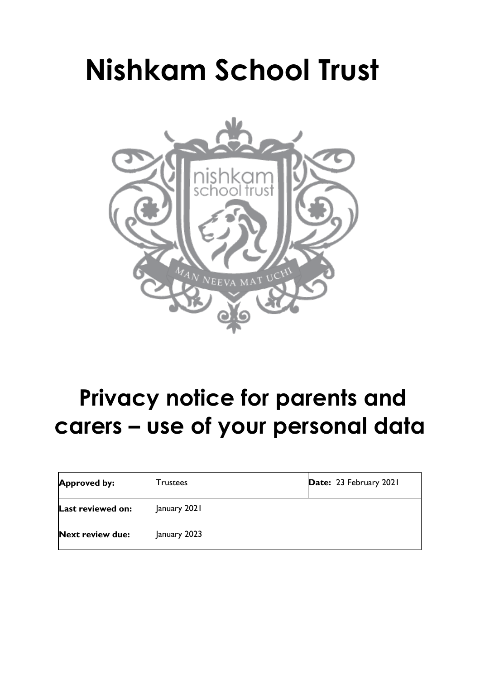# **Nishkam School Trust**



# **Privacy notice for parents and carers – use of your personal data**

| <b>Approved by:</b>     | Trustees     | Date: 23 February 2021 |
|-------------------------|--------------|------------------------|
| Last reviewed on:       | January 2021 |                        |
| <b>Next review due:</b> | January 2023 |                        |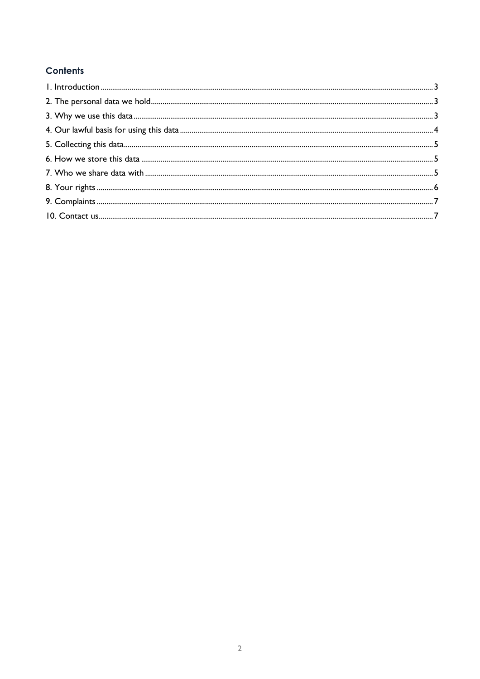# **Contents**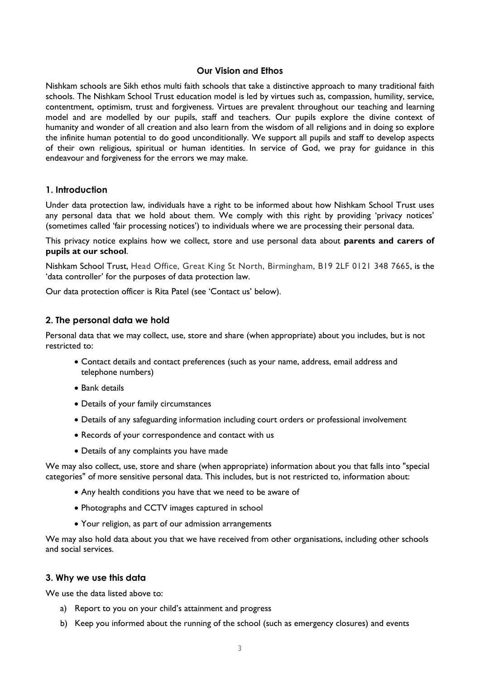#### **Our Vision and Ethos**

<span id="page-2-0"></span>Nishkam schools are Sikh ethos multi faith schools that take a distinctive approach to many traditional faith schools. The Nishkam School Trust education model is led by virtues such as, compassion, humility, service, contentment, optimism, trust and forgiveness. Virtues are prevalent throughout our teaching and learning model and are modelled by our pupils, staff and teachers. Our pupils explore the divine context of humanity and wonder of all creation and also learn from the wisdom of all religions and in doing so explore the infinite human potential to do good unconditionally. We support all pupils and staff to develop aspects of their own religious, spiritual or human identities. In service of God, we pray for guidance in this endeavour and forgiveness for the errors we may make.

# **1. Introduction**

Under data protection law, individuals have a right to be informed about how Nishkam School Trust uses any personal data that we hold about them. We comply with this right by providing 'privacy notices' (sometimes called 'fair processing notices') to individuals where we are processing their personal data.

This privacy notice explains how we collect, store and use personal data about **parents and carers of pupils at our school**.

Nishkam School Trust, Head Office, Great King St North, Birmingham, B19 2LF 0121 348 7665, is the 'data controller' for the purposes of data protection law.

Our data protection officer is Rita Patel (see 'Contact us' below).

#### <span id="page-2-1"></span>**2. The personal data we hold**

Personal data that we may collect, use, store and share (when appropriate) about you includes, but is not restricted to:

- Contact details and contact preferences (such as your name, address, email address and telephone numbers)
- Bank details
- Details of your family circumstances
- Details of any safeguarding information including court orders or professional involvement
- Records of your correspondence and contact with us
- Details of any complaints you have made

We may also collect, use, store and share (when appropriate) information about you that falls into "special categories" of more sensitive personal data. This includes, but is not restricted to, information about:

- Any health conditions you have that we need to be aware of
- Photographs and CCTV images captured in school
- Your religion, as part of our admission arrangements

We may also hold data about you that we have received from other organisations, including other schools and social services.

# <span id="page-2-2"></span>**3. Why we use this data**

We use the data listed above to:

- a) Report to you on your child's attainment and progress
- b) Keep you informed about the running of the school (such as emergency closures) and events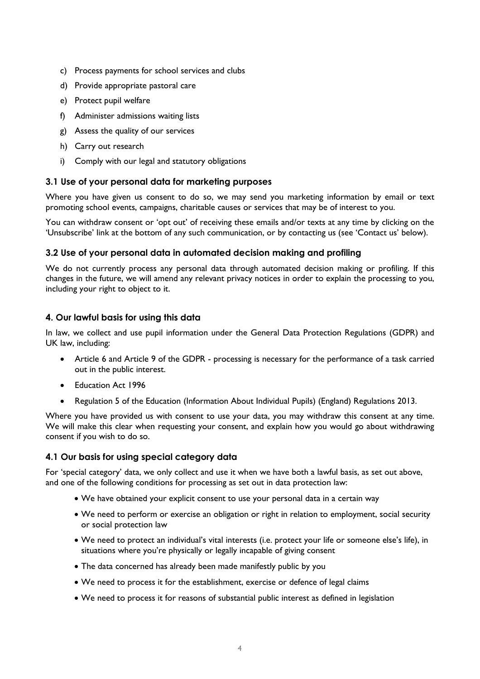- c) Process payments for school services and clubs
- d) Provide appropriate pastoral care
- e) Protect pupil welfare
- f) Administer admissions waiting lists
- g) Assess the quality of our services
- h) Carry out research
- i) Comply with our legal and statutory obligations

#### **3.1 Use of your personal data for marketing purposes**

Where you have given us consent to do so, we may send you marketing information by email or text promoting school events, campaigns, charitable causes or services that may be of interest to you.

You can withdraw consent or 'opt out' of receiving these emails and/or texts at any time by clicking on the 'Unsubscribe' link at the bottom of any such communication, or by contacting us (see 'Contact us' below).

# **3.2 Use of your personal data in automated decision making and profiling**

We do not currently process any personal data through automated decision making or profiling. If this changes in the future, we will amend any relevant privacy notices in order to explain the processing to you, including your right to object to it.

# <span id="page-3-0"></span>**4. Our lawful basis for using this data**

In law, we collect and use pupil information under the General Data Protection Regulations (GDPR) and UK law, including:

- Article 6 and Article 9 of the GDPR processing is necessary for the performance of a task carried out in the public interest.
- Education Act 1996
- Regulation 5 of the Education (Information About Individual Pupils) (England) Regulations 2013.

Where you have provided us with consent to use your data, you may withdraw this consent at any time. We will make this clear when requesting your consent, and explain how you would go about withdrawing consent if you wish to do so.

# **4.1 Our basis for using special category data**

For 'special category' data, we only collect and use it when we have both a lawful basis, as set out above, and one of the following conditions for processing as set out in data protection law:

- We have obtained your explicit consent to use your personal data in a certain way
- We need to perform or exercise an obligation or right in relation to employment, social security or social protection law
- We need to protect an individual's vital interests (i.e. protect your life or someone else's life), in situations where you're physically or legally incapable of giving consent
- The data concerned has already been made manifestly public by you
- We need to process it for the establishment, exercise or defence of legal claims
- We need to process it for reasons of substantial public interest as defined in legislation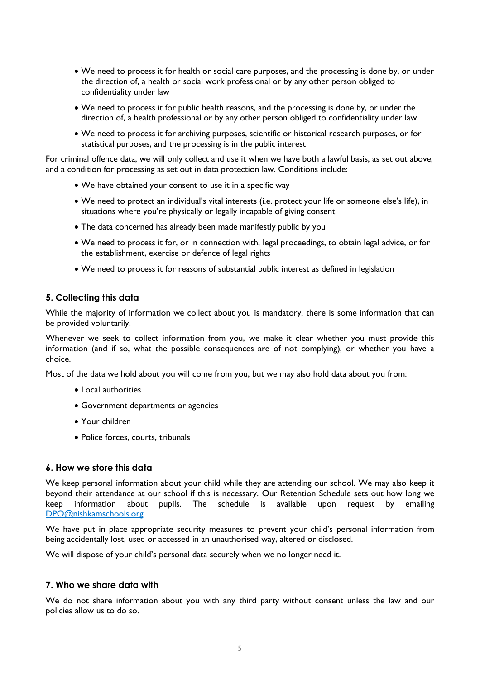- We need to process it for health or social care purposes, and the processing is done by, or under the direction of, a health or social work professional or by any other person obliged to confidentiality under law
- We need to process it for public health reasons, and the processing is done by, or under the direction of, a health professional or by any other person obliged to confidentiality under law
- We need to process it for archiving purposes, scientific or historical research purposes, or for statistical purposes, and the processing is in the public interest

For criminal offence data, we will only collect and use it when we have both a lawful basis, as set out above, and a condition for processing as set out in data protection law. Conditions include:

- We have obtained your consent to use it in a specific way
- We need to protect an individual's vital interests (i.e. protect your life or someone else's life), in situations where you're physically or legally incapable of giving consent
- The data concerned has already been made manifestly public by you
- We need to process it for, or in connection with, legal proceedings, to obtain legal advice, or for the establishment, exercise or defence of legal rights
- We need to process it for reasons of substantial public interest as defined in legislation

#### <span id="page-4-0"></span>**5. Collecting this data**

While the majority of information we collect about you is mandatory, there is some information that can be provided voluntarily.

Whenever we seek to collect information from you, we make it clear whether you must provide this information (and if so, what the possible consequences are of not complying), or whether you have a choice.

Most of the data we hold about you will come from you, but we may also hold data about you from:

- Local authorities
- Government departments or agencies
- Your children
- Police forces, courts, tribunals

#### <span id="page-4-1"></span>**6. How we store this data**

We keep personal information about your child while they are attending our school. We may also keep it beyond their attendance at our school if this is necessary. Our Retention Schedule sets out how long we keep information about pupils. The schedule is available upon request by emailing [DPO@nishkamschools.org](mailto:DPO@nishkamschools.org)

We have put in place appropriate security measures to prevent your child's personal information from being accidentally lost, used or accessed in an unauthorised way, altered or disclosed.

We will dispose of your child's personal data securely when we no longer need it.

#### <span id="page-4-2"></span>**7. Who we share data with**

We do not share information about you with any third party without consent unless the law and our policies allow us to do so.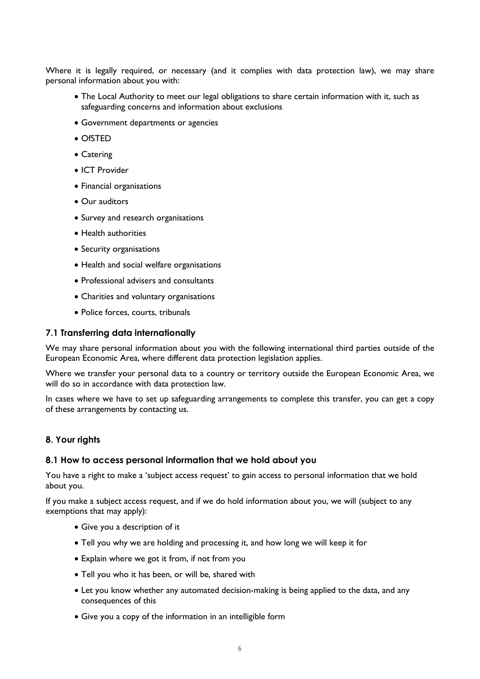Where it is legally required, or necessary (and it complies with data protection law), we may share personal information about you with:

- The Local Authority to meet our legal obligations to share certain information with it, such as safeguarding concerns and information about exclusions
- Government departments or agencies
- OfSTED
- Catering
- ICT Provider
- Financial organisations
- Our auditors
- Survey and research organisations
- Health authorities
- Security organisations
- Health and social welfare organisations
- Professional advisers and consultants
- Charities and voluntary organisations
- Police forces, courts, tribunals

#### **7.1 Transferring data internationally**

We may share personal information about you with the following international third parties outside of the European Economic Area, where different data protection legislation applies.

Where we transfer your personal data to a country or territory outside the European Economic Area, we will do so in accordance with data protection law.

In cases where we have to set up safeguarding arrangements to complete this transfer, you can get a copy of these arrangements by contacting us.

#### <span id="page-5-0"></span>**8. Your rights**

#### **8.1 How to access personal information that we hold about you**

You have a right to make a 'subject access request' to gain access to personal information that we hold about you.

If you make a subject access request, and if we do hold information about you, we will (subject to any exemptions that may apply):

- Give you a description of it
- Tell you why we are holding and processing it, and how long we will keep it for
- Explain where we got it from, if not from you
- Tell you who it has been, or will be, shared with
- Let you know whether any automated decision-making is being applied to the data, and any consequences of this
- Give you a copy of the information in an intelligible form